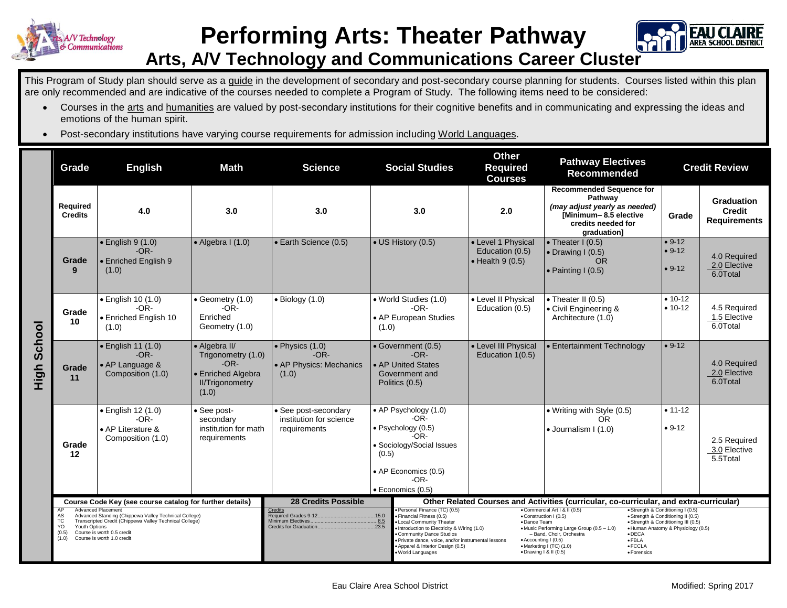

## **Performing Arts: Theater Pathway**



## **Arts, A/V Technology and Communications Career Cluster**

This Program of Study plan should serve as a guide in the development of secondary and post-secondary course planning for students. Courses listed within this plan are only recommended and are indicative of the courses needed to complete a Program of Study. The following items need to be considered:

- Courses in the arts and humanities are valued by post-secondary institutions for their cognitive benefits and in communicating and expressing the ideas and emotions of the human spirit.
- Post-secondary institutions have varying course requirements for admission including World Languages.

|                | Grade                                                                                                                                                                                                                                                         | <b>Math</b><br><b>English</b><br><b>Science</b>                           |                                                                                                        | <b>Social Studies</b>                                                                                      |                | <b>Other</b><br><b>Required</b><br><b>Courses</b>                                                                                                                                                                                                                                                                                                                                                                                                                                                                                                                                                                                                                                                                                                                  | <b>Pathway Electives</b><br><b>Recommended</b>                    | <b>Credit Review</b>                                                                                                                      |                                  |                                                           |
|----------------|---------------------------------------------------------------------------------------------------------------------------------------------------------------------------------------------------------------------------------------------------------------|---------------------------------------------------------------------------|--------------------------------------------------------------------------------------------------------|------------------------------------------------------------------------------------------------------------|----------------|--------------------------------------------------------------------------------------------------------------------------------------------------------------------------------------------------------------------------------------------------------------------------------------------------------------------------------------------------------------------------------------------------------------------------------------------------------------------------------------------------------------------------------------------------------------------------------------------------------------------------------------------------------------------------------------------------------------------------------------------------------------------|-------------------------------------------------------------------|-------------------------------------------------------------------------------------------------------------------------------------------|----------------------------------|-----------------------------------------------------------|
| School<br>High | Required<br><b>Credits</b>                                                                                                                                                                                                                                    | 4.0                                                                       | 3.0                                                                                                    | 3.0                                                                                                        | 3.0            |                                                                                                                                                                                                                                                                                                                                                                                                                                                                                                                                                                                                                                                                                                                                                                    | 2.0                                                               | <b>Recommended Sequence for</b><br>Pathway<br>(may adjust yearly as needed)<br>[Minimum-8.5 elective<br>credits needed for<br>graduation] | Grade                            | <b>Graduation</b><br><b>Credit</b><br><b>Requirements</b> |
|                | Grade<br>9                                                                                                                                                                                                                                                    | $\bullet$ English 9 (1.0)<br>$-OR-$<br><b>Enriched English 9</b><br>(1.0) | $\bullet$ Algebra I (1.0)                                                                              | • Earth Science (0.5)                                                                                      |                | • US History (0.5)                                                                                                                                                                                                                                                                                                                                                                                                                                                                                                                                                                                                                                                                                                                                                 | • Level 1 Physical<br>Education (0.5)<br>$\bullet$ Health 9 (0.5) | • Theater $I(0.5)$<br>$\bullet$ Drawing I (0.5)<br><b>OR</b><br>$\bullet$ Painting I (0.5)                                                | $• 9-12$<br>$• 9-12$<br>$• 9-12$ | 4.0 Required<br>2.0 Elective<br>6.0Total                  |
|                | Grade<br>10                                                                                                                                                                                                                                                   | · English 10 (1.0)<br>$-OR-$<br>• Enriched English 10<br>(1.0)            | • Geometry (1.0)<br>$-OR-$<br>Enriched<br>Geometry (1.0)                                               | $\bullet$ Biology (1.0)                                                                                    | (1.0)          | • World Studies (1.0)<br>$-OR-$<br>• AP European Studies                                                                                                                                                                                                                                                                                                                                                                                                                                                                                                                                                                                                                                                                                                           | • Level II Physical<br>Education (0.5)                            | • Theater II (0.5)<br>• Civil Engineering &<br>Architecture (1.0)                                                                         | $• 10-12$<br>$• 10-12$           | 4.5 Required<br>1.5 Elective<br>6.0Total                  |
|                | Grade<br>11                                                                                                                                                                                                                                                   | • English 11 (1.0)<br>$-OR-$<br>• AP Language &<br>Composition (1.0)      | • Algebra II/<br>Trigonometry (1.0)<br>$-OR-$<br>• Enriched Algebra<br><b>II/Trigonometry</b><br>(1.0) | $\bullet$ Physics (1.0)<br>$-OR-$<br>• AP Physics: Mechanics<br>(1.0)                                      | Politics (0.5) | • Government (0.5)<br>$-OR-$<br>• AP United States<br>Government and                                                                                                                                                                                                                                                                                                                                                                                                                                                                                                                                                                                                                                                                                               | • Level III Physical<br>Education 1(0.5)                          | • Entertainment Technology                                                                                                                | $• 9-12$                         | 4.0 Required<br>2.0 Elective<br>6.0Total                  |
|                | Grade<br>12                                                                                                                                                                                                                                                   | • English 12 (1.0)<br>$-OR-$<br>• AP Literature &<br>Composition (1.0)    | • See post-<br>secondary<br>institution for math<br>requirements                                       | • See post-secondary<br>institution for science<br>requirements                                            | (0.5)          | • AP Psychology (1.0)<br>-OR-<br>· Psychology (0.5)<br>-OR-<br>• Sociology/Social Issues<br>• AP Economics (0.5)<br>$-OR-$<br>· Economics (0.5)                                                                                                                                                                                                                                                                                                                                                                                                                                                                                                                                                                                                                    |                                                                   | • Writing with Style (0.5)<br>OR.<br>• Journalism I (1.0)                                                                                 | $• 11-12$<br>$• 9-12$            | 2.5 Required<br>3.0 Elective<br>5.5Total                  |
|                | Course Code Key (see course catalog for further details)                                                                                                                                                                                                      |                                                                           |                                                                                                        | <b>28 Credits Possible</b>                                                                                 |                | Other Related Courses and Activities (curricular, co-curricular, and extra-curricular)                                                                                                                                                                                                                                                                                                                                                                                                                                                                                                                                                                                                                                                                             |                                                                   |                                                                                                                                           |                                  |                                                           |
|                | Advanced Placement<br>AP<br>Advanced Standing (Chippewa Valley Technical College)<br>AS<br>Transcripted Credit (Chippewa Valley Technical College)<br>TC<br>Youth Options<br>YO<br>Course is worth 0.5 credit<br>(0.5)<br>Course is worth 1.0 credit<br>(1.0) |                                                                           |                                                                                                        | Credits<br>Required Grades 9-12.<br>.15.0<br>Minimum Electives.<br>.8.5<br>Credits for Graduation<br>.23.5 |                | Personal Finance (TC) (0.5)<br>. Commercial Art   &    (0.5)<br>· Strength & Conditioning I (0.5)<br>Financial Fitness (0.5)<br>· Construction I (0.5)<br>· Strength & Conditioning II (0.5)<br><b>Local Community Theater</b><br>· Dance Team<br>• Strength & Conditioning III (0.5)<br>Introduction to Electricity & Wiring (1.0)<br>· Human Anatomy & Physiology (0.5)<br>• Music Performing Large Group (0.5 - 1.0)<br>- Band, Choir, Orchestra<br>Community Dance Studios<br>$\bullet$ DECA<br>$\bullet$ FBLA<br>Private dance, voice, and/or instrumental lessons<br>• Accounting I (0.5)<br>• Marketing I (TC) (1.0)<br>$\bullet$ FCCLA<br>Apparel & Interior Design (0.5)<br>$\bullet$ Drawing $\overline{1}$ & II (0.5)<br>World Languages<br>• Forensics |                                                                   |                                                                                                                                           |                                  |                                                           |